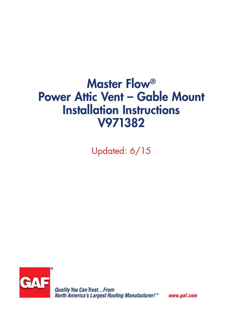# Master Flow® Power Attic Vent – Gable Mount Installation Instructions V971382

Updated: 6/15



**Quality You Can Trust... From** North America's Largest Roofing Manufacturer!™

*www.gaf.com*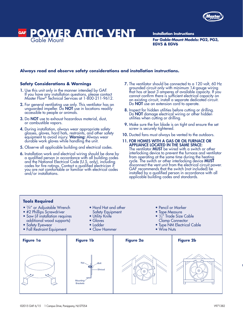

#### **POWER ATTIC VENT Installation Instructions GAF** Gable Mount

**For Gable-Mount Models: PG2, PG3, EGV5 & EGV6**

#### **Always read and observe safety considerations and installation instructions.**

#### **Safety Considerations & Warnings**

- 1. Use this unit only in the manner intended by GAF. If you have any installation questions, please contact Master Flow® Technical Services at 1-800-211-9612.
- 2. For general ventilating use only. This ventilator has an unguarded impeller. Do **NOT** use in locations readily accessible to people or animals.
- **3.** Do **NOT** use to exhaust hazardous material, dust, or combustible vapors.
- 4. During installation, always wear appropriate safety glasses, gloves, hard hats, restraints, and other safety equipment to avoid injury. Warning: Always wear durable work gloves while handling the unit.
- 5. Observe all applicable building and electrical codes.
- **6.** Installation work and electrical wiring should be done by a qualified person in accordance with all building codes and the National Electrical Code (U.S. only), including codes for fire ratings. Contact a qualified electrician if you are not comfortable or familiar with electrical codes and/or installations.
- 7. The ventilator should be connected to a 120 volt, 60 Hz grounded circuit only with minimum 14-gauge wiring that has at least 3 amperes of available capacity. If you cannot confirm there is sufficient electrical capacity on an existing circuit, install a separate dedicated circuit. Do NOT use an extension cord to operate.
- 8. Inspect for hidden utilities before cutting or drilling. Do **NOT** damage electrical wiring or other hidden utilities when cutting or drilling.
- 9. Make sure the fan blade is on tight and ensure the set screw is securely tightened.
- 10. Ducted fans must always be vented to the outdoors.
- 11. FOR HOMES WITH A GAS OR OIL FURNACE OR APPLIANCE LOCATED IN THE SAME SPACE: The ventilator MUST be wired with a switch or other interlocking device to prevent the furnace and ventilator from operating at the same time during the heating cycle. The switch or other interlocking device MUST disconnect the vent unit from the electrical circuit power. GAF recommends that the switch (not included) be installed by a qualified person in accordance with all applicable building codes and standards.

#### **Tools Required**

- <sup>3</sup>/<sub>8</sub>" or Adjustable Wrench
- #2 Phillips Screwdriver
- Saw (if installation requires additional wood supports)
- Safety Eyewear
- Fall Restraint Equipment
- Hard Hat and other Safety Equipment
- Utility Knife
- Gloves
- Ladder
- Claw Hammer
- Pencil or Marker
- Tape Measure
- 1 /2" Trade Size Cable Clamp Connector
- Type NM Electrical Cable
- Wire Nuts



**Figure 2b**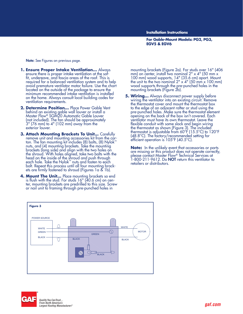**Installation Instructions**

**For Gable-Mount Models: PG2, PG3, EGV5 & EGV6**

Note: See Figures on previous page.

- **1. Ensure Proper Intake Ventilation...** Always ensure there is proper intake ventilation at the soffit, undereave, and fascia areas of the roof. This is required for a balanced ventilation system and to help avoid premature ventilator motor failure. Use the chart located on the outside of the package to ensure the minimum recommended intake ventilation is installed on the home. Always consult local building codes for ventilation requirements.
- 2. Determine Position... Place Power Gable Vent behind an existing gable wall louver or install a Master Flow® SGM20 Automatic Gable Louver (not included). The fan should be approximately 3" (76 mm) to 4" (102 mm) away from the exterior louver.
- **3. Attach Mounting Brackets To Unit…** Carefully remove unit and mounting accessories kit from the carton. The fan mounting kit includes (8) bolts, (8) Nylok™ nuts, and (4) mounting brackets. Take the mounting brackets (long side) and align with the two holes on the shroud. With holes aligned, take two bolts with the head on the inside of the shroud and push through each hole. Take the Nylok™ nuts and fasten to each bolt. Repeat this process until all four mounting brackets are firmly fastened to shroud (Figures 1a & 1b).
- **4. Mount The Unit...** Place mounting brackets so end is flush with the stud. For studs 16" (40.6 cm) on center, mounting brackets are predrilled to this size. Screw or nail unit to framing through pre-punched holes in

mounting brackets (Figure 2a). For studs over 16" (406 mm) on center, install two nominal  $2'' \times 4''$  (50 mm  $\times$ 100 mm) wood supports, 14" (35.6 cm) apart. Mount the unit to the two nominal  $2" \times 4"$  (50 mm  $\times$  100 mm) wood supports through the pre-punched holes in the mounting brackets (Figure 2b).

**5. Wiring...** Always disconnect power supply before wiring the ventilator into an existing circuit. Remove the thermostat cover and mount the thermostat box to the edge of an adjacent rafter or stud using the pre-punched holes. Make sure the thermostat element opening on the back of the box isn't covered. Each ventilator must have its own thermostat. Leave the flexible conduit with some slack and begin wiring the thermostat as shown (Figure 3). The included thermostat is adjustable from 60°F (15.5°C) to 120°F (48.8°C). The factory/recommended setting for efficient operation is 105°F (40.5°C).

**Note:** In the unlikely event that accessories or parts are missing or this product does not operate correctly, please contact Master Flow® Technical Services at 1-800-211-9612. Do NOT return this ventilator to retailers or distributors.



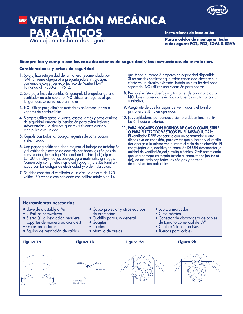

## **GAF VENTILACIÓN MECÁNICA PARA ÁTICOS Instrucciones de instalación a dos aguas: PG2, PG3, EGV5 & EGV6**<br>Montaje en techo a dos aguas

**Para modelos de montaje en techo** 

#### **Siempre lee y cumple con las consideraciones de seguridad y las instrucciones de instalación.**

#### **Consideraciones y avisos de seguridad**

- 1. Solo utiliza esta unidad de la manera recomendada por GAF. Si tienes alguna otra pregunta sobre instalación, comunícate con el Servicio Técnico de Master Flow® llamando al 1-800-211-9612.
- 2. Solo para fines de ventilación general. El propulsor de este ventilador no está cubierto. NO utilizar en lugares al que tengan acceso personas o animales.
- 3. NO utilizar para eliminar materiales peligrosos, polvo o vapores de combustibles.
- 4. Siempre utiliza gafas, guantes, cascos, arnés y otros equipos de seguridad durante la instalación para evitar lesiones. Advertencia: Usa siempre guantes resistentes cuando manipules esta unidad.
- 5. Cumple con todos los códigos vigentes de construcción y electricidad.
- 6. Una persona calificada debe realizar el trabajo de instalación y el cableado eléctrico de acuerdo con todos los códigos de construcción del Código Nacional de Electricidad (solo en EE. UU.), incluyendo los códigos para materiales ignífugos. Comunícate con un electricista calificado si no estás familiar izado con los códigos de electricidad y/o de instalación.
- 7. Se debe conectar el ventilador a un circuito a tierra de 120 voltios, 60 Hz solo con cableado con calibre mínimo de 14,

que tenga al menos 3 amperes de capacidad disponible. Si no puedes confirmar que existe capacidad eléctrica sufi ciente en un circuito existente, instala un circuito dedicado separado. NO utilizar una extensión para operar.

- 8. Revisa si existen tuberías ocultas antes de cortar o taladrar. NO dañes cableados eléctricos o tuberías ocultas al cortar o taladrar.
- 9. Asegúrate de que las aspas del ventilador y el tornillo prisionero estén bien ajustados.
- 10. Los ventiladores por conducto siempre deben tener ventilación hacia el exterior.
- 11. PARA HOGARES CON HORNOS DE GAS O COMBUSTIBLE O PARA ELECTRODOMÉSTICOS EN EL MISMO LUGAR: El ventilador DEBE conectarse con un conmutador u otro dispositivo de conexión, para evitar que el horno y el ventilador operen a la misma vez durante el ciclo de calefacción. El conmutador o dispositivo de conexión DEBEN desconectar la unidad de ventilación del circuito eléctrico. GAF recomienda que una persona calificada instale el conmutador (no incluido), de acuerdo con todos los códigos y normas de construcción aplicables.

#### **Herramientas necesarias**

- Llave de ajustable o  $\frac{3}{8}$ "
- 2 Phillips Screwdriver
- Sierra (si la instalación requiere soportes de madera adicionales)
- Gafas protectoras
- Caias proiecioras<br>• Equipo de restricción de caídas
- Casco protector y otros equipos de protección
- Cuchillo para uso general
- Guantes
- Escalera
- Martillo de orejas
- Lápiz o marcador
- Cinta métrica
- Conector de abrazadera de cables de tamaño comercial de 1 /2"
- Cable eléctrico tipo NM
- Tuercas para cables

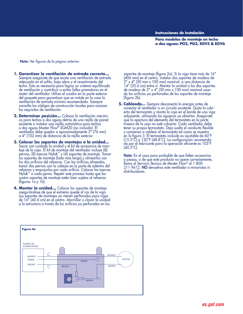**Instrucciones de instalación**

**Para modelos de montaje en techo a dos aguas: PG2, PG3, EGV5 & EGV6**

Nota: Ver figuras de la página anterior.

- **1. Garantizar la ventilación de entrada correcta...**  Siempre asegúrate de que exista una ventilación de entrada adecuada en el sofito, bajo alero y el revestimiento del techo. Esto es necesario para lograr un sistema equilibrado de ventilación y contribuir a evitar fallos prematuros en el motor del ventilador. Utiliza el cuadro en la parte exterior del paquete para garantizar que se instale en la casa la ventilación de entrada mínima recomendada. Siempre consulta los códigos de construcción locales para conocer los requisitos de ventilación.
- **2. Determinar posición...** Colocar la ventilación mecánica para techos a dos aguas detrás de una rejilla de pared existente o instalar una rejilla automática para techos a dos aguas Master Flow® SGM20 (no incluida). El ventilador debe quedar a aproximadamente 3" (76 mm) a 4" (102 mm) de distancia de la rejilla exterior.
- **3. Colocar los soportes de montajes a la unidad…**  Sacar con cuidado la unidad y el kit de accesorios de montaje de la caja. El kit de montaje del ventilador incluye (8) pernos, (8) tuercas Nylok™ y (4) soportes de montaje. Tomar los soportes de montaje (lado más largo) y alinearlos con los dos orificios del refuerzo. Con los orificios alineados, tomar dos pernos con la cabeza en la parte de adentro del refuerzo y empujarlos por cada orificio. Colocar las tuercas Nylok™ a cada perno. Repetir este proceso hasta que los cuatro soportes de montaje estén bien sujetos al refuerzo (figuras 1a y 1b).
- **4. Montar la unidad...** Colocar los soportes de montaje asegurándose de que el extremo quede al ras de la viga. Los soportes de montajes ya vienen perforados para vigas de 16" (40.6 cm) en el centro. Atornillar o clavar la unidad a la estructura a través de los orificios ya perforados en los

soportes de montaje (figura 2a). Si la viga tiene más de 16" (406 mm) en el centro, instalar dos soportes de madera de 2" x 4" (50 mm x 100 mm) nominal, a una distancia de 14" (35.6 cm) entre sí. Montar la unidad a los dos soportes de madera de 2" x 4" (50 mm x 100 mm) nominal usando los orificios ya perforados de los soportes de montaje (figura 2b).

**5. Cableado...** Siempre desconecta la energía antes de conectar el ventilador a un circuito existente. Quita la cubierta del termostato y monta la caja en el borde de una viga adyacente, utilizando los agujeros ya abiertos. Asegúrate que la apertura del elemento del termostato en la parte trasera de la caja no esté cubierta. Cada ventilador debe tener su propio termostato. Deja suelto el conducto flexible y comienza a cablear el termostato tal como se muestra en la figura 3. El termostato incluido es ajustable de 60°F (15.5°C) a 120°F (48.8°C). La configuración recomendada por el fabricante para la operación eficiente es 105°F  $(40.5^{\circ}C)$ .

Nota: En el caso poco probable de que falten accesorios o piezas, o de que este producto no opere correctamente, llama al Servicio Técnico de Master Flow® al 1-800- 211-9612. NO devuelvas este ventilador a minoristas ni distribuidores.

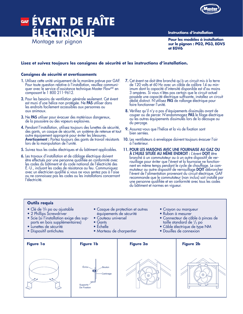

### **ENT DE FAÎTE GAF ELECTRICITY Instructions d'installation** Montage sur pignon

**Pour les modèles à installation sur le pignon : PG2, PG3, EGV5 et EGV6**

#### **Lisez et suivez toujours les consignes de sécurité et les instructions d'installation.**

#### **Consignes de sécurité et avertissements**

- 1. Utilisez cette unité uniquement de la manière prévue par GAF. Pour toute question relative à l'installation, veuillez communiquer avec le service d'assistance technique Master Flow<sup>MD</sup> en composant le 1 800 211-9612.
- 2. Pour les besoins de ventilation générale seulement. Cet évent est muni d'une hélice non protégée. Ne PAS utiliser dans les endroits facilement accessibles aux personnes ou aux animaux.
- 3. Ne PAS utiliser pour évacuer des matériaux dangereux, de la poussière ou des vapeurs explosives.
- 4. Pendant l'installation, utilisez toujours des lunettes de sécurité, des gants, un casque de sécurité, un système de retenue et tout autre équipement approprié pour éviter les blessures. Avertissement : Portez toujours des gants de travail résistants lors de la manipulation de l'unité.
- 5. Suivez tous les codes électriques et du bâtiment applicables.
- 6. Les travaux d'installation et de câblage électrique doivent être effectués par une personne qualifiée en conformité avec les codes du bâtiment et du code national de l'électricité des É.-U., incluant les codes de résistance au feu. Communiquez avec un électricien qualitié si vous ne vous sentez pas à l'aise ou ne connaissez pas les codes ou les installations concernant l'électricité.
- 7. Cet évent ne doit être branché qu'à un circuit mis à la terre de 120 volts et 60 Hz avec un câble de calibre 14 au minimum dont la capacité d'intensité disponible est d'au moins 3 ampères. Si vous n'êtes pas certain que le circuit actuel possède une capacité électrique suffisante, installez un circuit dédié distinct. N'utilisez PAS de rallonge électrique pour faire fonctionner l'unité.
- 8. Vérifiez qu'il n'y a pas d'équipements dissimulés avant de couper ou de percer. N'endommagez **PAS** le filage électrique<br>ou les autres équipements dissimulés lors de la découpe ou du perçage.
- 9. Assurez-vous que l'hélice et la vis de fixation sont bien serrées.
- 10. Les ventilateurs à enveloppe doivent toujours évacuer l'air à l'extérieur.
- 11. POUR LES MAISONS AVEC UNE FOURNAISE AU GAZ OU À L'HUILE SITUÉE AU MÊME ENDROIT : L'évent DOIT être branché à un commutateur ou à un autre dispositif de verrouillage pour éviter que l'évent et la fournaise ne fonctionnent en même temps pendant le cycle de chauffage. Le commutateur ou autre dispositif de verrouillage DOIT débrancher l'évent de l'alimentation provenant du circuit électrique. GAF recommande que le commutateur (non inclus) soit installé par une personne qualifiée et en conformité avec tous les codes du bâtiment et normes en vigueur.

#### **Outils requis**

- Clé de 3 /8 po ou ajustable
- 2 Phillips Screwdriver
- Scie (si l'installation exige des supports en bois supplémentaires)
- Lunettes de sécurité
- Dispositif antichutes
- Casque de protection et autres équipements de sécurité
- Couteau universel
- Gants
- Échelle
- Marteau de charpentier
- Crayon ou marqueur
- Ruban à mesurer
- Connecteur de câble à pinces de taille standard de 1 /2 po
- Câble électrique de type NM
- Douilles de connexion